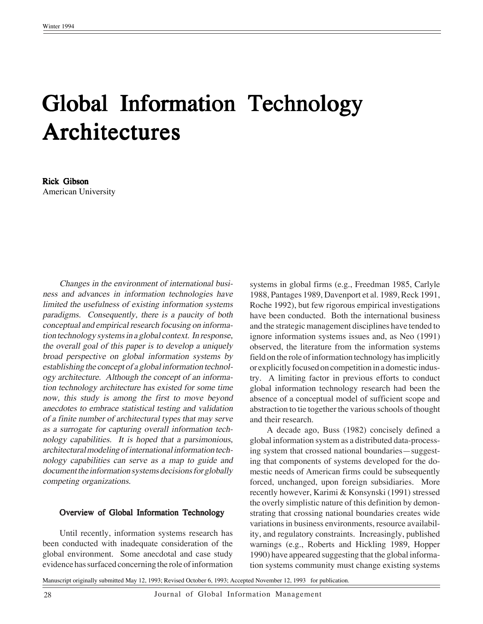# Global Information Technology **Architectures**

# Rick Gibson American University

Changes in the environment of international business and advances in information technologies have limited the usefulness of existing information systems paradigms. Consequently, there is a paucity of both conceptual and empirical research focusing on information technology systems in a global context. In response, the overall goal of this paper is to develop a uniquely broad perspective on global information systems by establishing the concept of a global information technology architecture. Although the concept of an information technology architecture has existed for some time now, this study is among the first to move beyond anecdotes to embrace statistical testing and validation of a finite number of architectural types that may serve as a surrogate for capturing overall information technology capabilities. It is hoped that a parsimonious, architectural modeling of international information technology capabilities can serve as a map to guide and document the information systems decisions for globally competing organizations.

#### Overview of Global Information Technology

Until recently, information systems research has been conducted with inadequate consideration of the global environment. Some anecdotal and case study evidence has surfaced concerning the role of information systems in global firms (e.g., Freedman 1985, Carlyle 1988, Pantages 1989, Davenport et al. 1989, Reck 1991, Roche 1992), but few rigorous empirical investigations have been conducted. Both the international business and the strategic management disciplines have tended to ignore information systems issues and, as Neo (1991) observed, the literature from the information systems field on the role of information technology has implicitly or explicitly focused on competition in a domestic industry. A limiting factor in previous efforts to conduct global information technology research had been the absence of a conceptual model of sufficient scope and abstraction to tie together the various schools of thought and their research.

A decade ago, Buss (1982) concisely defined a global information system as a distributed data-processing system that crossed national boundaries—suggesting that components of systems developed for the domestic needs of American firms could be subsequently forced, unchanged, upon foreign subsidiaries. More recently however, Karimi & Konsynski (1991) stressed the overly simplistic nature of this definition by demonstrating that crossing national boundaries creates wide variations in business environments, resource availability, and regulatory constraints. Increasingly, published warnings (e.g., Roberts and Hickling 1989, Hopper 1990) have appeared suggesting that the global information systems community must change existing systems

Manuscript originally submitted May 12, 1993; Revised October 6, 1993; Accepted November 12, 1993 for publication.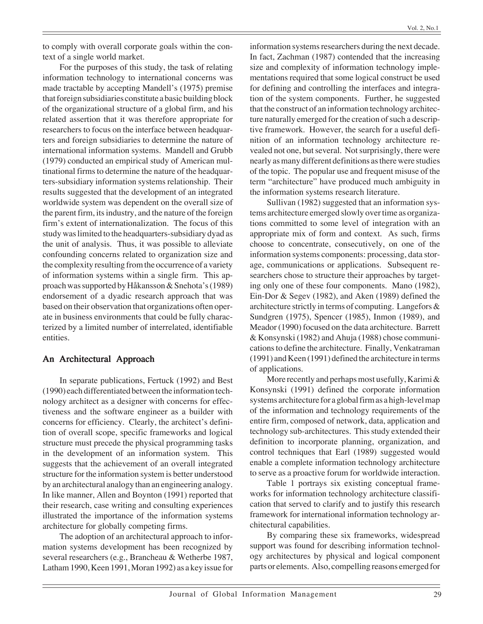to comply with overall corporate goals within the context of a single world market.

For the purposes of this study, the task of relating information technology to international concerns was made tractable by accepting Mandell's (1975) premise that foreign subsidiaries constitute a basic building block of the organizational structure of a global firm, and his related assertion that it was therefore appropriate for researchers to focus on the interface between headquarters and foreign subsidiaries to determine the nature of international information systems. Mandell and Grubb (1979) conducted an empirical study of American multinational firms to determine the nature of the headquarters-subsidiary information systems relationship. Their results suggested that the development of an integrated worldwide system was dependent on the overall size of the parent firm, its industry, and the nature of the foreign firm's extent of internationalization. The focus of this study was limited to the headquarters-subsidiary dyad as the unit of analysis. Thus, it was possible to alleviate confounding concerns related to organization size and the complexity resulting from the occurrence of a variety of information systems within a single firm. This approach was supported by Håkansson & Snehota's (1989) endorsement of a dyadic research approach that was based on their observation that organizations often operate in business environments that could be fully characterized by a limited number of interrelated, identifiable entities.

# An Architectural Approach

In separate publications, Fertuck (1992) and Best (1990) each differentiated between the information technology architect as a designer with concerns for effectiveness and the software engineer as a builder with concerns for efficiency. Clearly, the architect's definition of overall scope, specific frameworks and logical structure must precede the physical programming tasks in the development of an information system. This suggests that the achievement of an overall integrated structure for the information system is better understood by an architectural analogy than an engineering analogy. In like manner, Allen and Boynton (1991) reported that their research, case writing and consulting experiences illustrated the importance of the information systems architecture for globally competing firms.

The adoption of an architectural approach to information systems development has been recognized by several researchers (e.g., Brancheau & Wetherbe 1987, Latham 1990, Keen 1991, Moran 1992) as a key issue for information systems researchers during the next decade. In fact, Zachman (1987) contended that the increasing size and complexity of information technology implementations required that some logical construct be used for defining and controlling the interfaces and integration of the system components. Further, he suggested that the construct of an information technology architecture naturally emerged for the creation of such a descriptive framework. However, the search for a useful definition of an information technology architecture revealed not one, but several. Not surprisingly, there were nearly as many different definitions as there were studies of the topic. The popular use and frequent misuse of the term "architecture" have produced much ambiguity in the information systems research literature.

Sullivan (1982) suggested that an information systems architecture emerged slowly over time as organizations committed to some level of integration with an appropriate mix of form and context. As such, firms choose to concentrate, consecutively, on one of the information systems components: processing, data storage, communications or applications. Subsequent researchers chose to structure their approaches by targeting only one of these four components. Mano (1982), Ein-Dor & Segev (1982), and Aken (1989) defined the architecture strictly in terms of computing. Langefors & Sundgren (1975), Spencer (1985), Inmon (1989), and Meador (1990) focused on the data architecture. Barrett & Konsynski (1982) and Ahuja (1988) chose communications to define the architecture. Finally, Venkatraman (1991) and Keen (1991) defined the architecture in terms of applications.

More recently and perhaps most usefully, Karimi & Konsynski (1991) defined the corporate information systems architecture for a global firm as a high-level map of the information and technology requirements of the entire firm, composed of network, data, application and technology sub-architectures. This study extended their definition to incorporate planning, organization, and control techniques that Earl (1989) suggested would enable a complete information technology architecture to serve as a proactive forum for worldwide interaction.

Table 1 portrays six existing conceptual frameworks for information technology architecture classification that served to clarify and to justify this research framework for international information technology architectural capabilities.

By comparing these six frameworks, widespread support was found for describing information technology architectures by physical and logical component parts or elements. Also, compelling reasons emerged for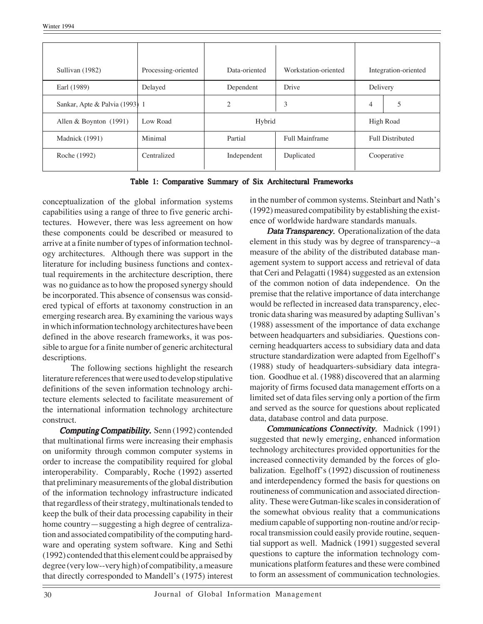| Sullivan (1982)                | Processing-oriented | Data-oriented             | Workstation-oriented |                         | Integration-oriented |
|--------------------------------|---------------------|---------------------------|----------------------|-------------------------|----------------------|
| Earl (1989)                    | Delayed             | Dependent                 | Drive                | Delivery                |                      |
| Sankar, Apte & Palvia (1993) 1 |                     | $\overline{c}$            | 3                    | 4                       | 5                    |
| Allen & Boynton $(1991)$       | Low Road            | Hybrid                    |                      | High Road               |                      |
| Madnick (1991)                 | Minimal             | Partial<br>Full Mainframe |                      | <b>Full Distributed</b> |                      |
| Roche (1992)                   | Centralized         | Independent               | Duplicated           |                         | Cooperative          |

Table 1: Comparative Summary of Six Architectural Frameworks

conceptualization of the global information systems capabilities using a range of three to five generic architectures. However, there was less agreement on how these components could be described or measured to arrive at a finite number of types of information technology architectures. Although there was support in the literature for including business functions and contextual requirements in the architecture description, there was no guidance as to how the proposed synergy should be incorporated. This absence of consensus was considered typical of efforts at taxonomy construction in an emerging research area. By examining the various ways in which information technology architectures have been defined in the above research frameworks, it was possible to argue for a finite number of generic architectural descriptions.

The following sections highlight the research literature references that were used to develop stipulative definitions of the seven information technology architecture elements selected to facilitate measurement of the international information technology architecture construct.

Computing Compatibility. Senn (1992) contended that multinational firms were increasing their emphasis on uniformity through common computer systems in order to increase the compatibility required for global interoperability. Comparably, Roche (1992) asserted that preliminary measurements of the global distribution of the information technology infrastructure indicated that regardless of their strategy, multinationals tended to keep the bulk of their data processing capability in their home country—suggesting a high degree of centralization and associated compatibility of the computing hardware and operating system software. King and Sethi (1992) contended that this element could be appraised by degree (very low--very high) of compatibility, a measure that directly corresponded to Mandell's (1975) interest

in the number of common systems. Steinbart and Nath's (1992) measured compatibility by establishing the existence of worldwide hardware standards manuals.

Data Transparency. Operationalization of the data element in this study was by degree of transparency--a measure of the ability of the distributed database management system to support access and retrieval of data that Ceri and Pelagatti (1984) suggested as an extension of the common notion of data independence. On the premise that the relative importance of data interchange would be reflected in increased data transparency, electronic data sharing was measured by adapting Sullivan's (1988) assessment of the importance of data exchange between headquarters and subsidiaries. Questions concerning headquarters access to subsidiary data and data structure standardization were adapted from Egelhoff's (1988) study of headquarters-subsidiary data integration. Goodhue et al. (1988) discovered that an alarming majority of firms focused data management efforts on a limited set of data files serving only a portion of the firm and served as the source for questions about replicated data, database control and data purpose.

Communications Connectivity. Madnick (1991) suggested that newly emerging, enhanced information technology architectures provided opportunities for the increased connectivity demanded by the forces of globalization. Egelhoff's (1992) discussion of routineness and interdependency formed the basis for questions on routineness of communication and associated directionality. These were Gutman-like scales in consideration of the somewhat obvious reality that a communications medium capable of supporting non-routine and/or reciprocal transmission could easily provide routine, sequential support as well. Madnick (1991) suggested several questions to capture the information technology communications platform features and these were combined to form an assessment of communication technologies.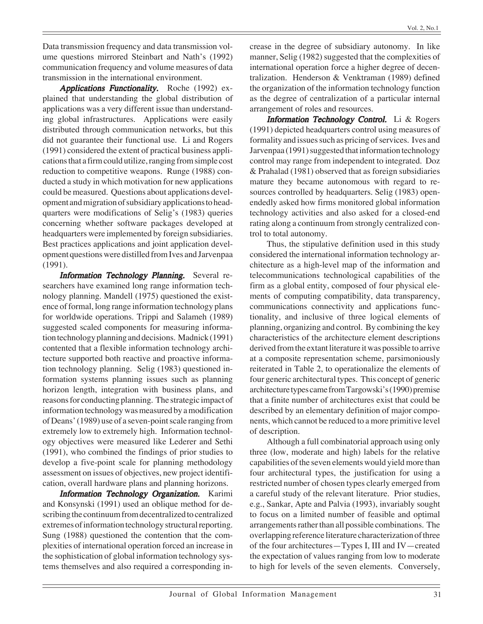Data transmission frequency and data transmission volume questions mirrored Steinbart and Nath's (1992) communication frequency and volume measures of data transmission in the international environment.

Applications Functionality. Roche (1992) explained that understanding the global distribution of applications was a very different issue than understanding global infrastructures. Applications were easily distributed through communication networks, but this did not guarantee their functional use. Li and Rogers (1991) considered the extent of practical business applications that a firm could utilize, ranging from simple cost reduction to competitive weapons. Runge (1988) conducted a study in which motivation for new applications could be measured. Questions about applications development and migration of subsidiary applications to headquarters were modifications of Selig's (1983) queries concerning whether software packages developed at headquarters were implemented by foreign subsidiaries. Best practices applications and joint application development questions were distilled from Ives and Jarvenpaa (1991).

Information Technology Planning. Several researchers have examined long range information technology planning. Mandell (1975) questioned the existence of formal, long range information technology plans for worldwide operations. Trippi and Salameh (1989) suggested scaled components for measuring information technology planning and decisions. Madnick (1991) contented that a flexible information technology architecture supported both reactive and proactive information technology planning. Selig (1983) questioned information systems planning issues such as planning horizon length, integration with business plans, and reasons for conducting planning. The strategic impact of information technology was measured by a modification of Deans' (1989) use of a seven-point scale ranging from extremely low to extremely high. Information technology objectives were measured like Lederer and Sethi (1991), who combined the findings of prior studies to develop a five-point scale for planning methodology assessment on issues of objectives, new project identification, overall hardware plans and planning horizons.

Information Technology Organization. Karimi and Konsynski (1991) used an oblique method for describing the continuum from decentralized to centralized extremes of information technology structural reporting. Sung (1988) questioned the contention that the complexities of international operation forced an increase in the sophistication of global information technology systems themselves and also required a corresponding increase in the degree of subsidiary autonomy. In like manner, Selig (1982) suggested that the complexities of international operation force a higher degree of decentralization. Henderson & Venktraman (1989) defined the organization of the information technology function as the degree of centralization of a particular internal arrangement of roles and resources.

**Information Technology Control.** Li  $\&$  Rogers (1991) depicted headquarters control using measures of formality and issues such as pricing of services. Ives and Jarvenpaa (1991) suggested that information technology control may range from independent to integrated. Doz & Prahalad (1981) observed that as foreign subsidiaries mature they became autonomous with regard to resources controlled by headquarters. Selig (1983) openendedly asked how firms monitored global information technology activities and also asked for a closed-end rating along a continuum from strongly centralized control to total autonomy.

Thus, the stipulative definition used in this study considered the international information technology architecture as a high-level map of the information and telecommunications technological capabilities of the firm as a global entity, composed of four physical elements of computing compatibility, data transparency, communications connectivity and applications functionality, and inclusive of three logical elements of planning, organizing and control. By combining the key characteristics of the architecture element descriptions derived from the extant literature it was possible to arrive at a composite representation scheme, parsimoniously reiterated in Table 2, to operationalize the elements of four generic architectural types. This concept of generic architecture types came from Targowski's (1990) premise that a finite number of architectures exist that could be described by an elementary definition of major components, which cannot be reduced to a more primitive level of description.

Although a full combinatorial approach using only three (low, moderate and high) labels for the relative capabilities of the seven elements would yield more than four architectural types, the justification for using a restricted number of chosen types clearly emerged from a careful study of the relevant literature. Prior studies, e.g., Sankar, Apte and Palvia (1993), invariably sought to focus on a limited number of feasible and optimal arrangements rather than all possible combinations. The overlapping reference literature characterization of three of the four architectures—Types I, III and IV—created the expectation of values ranging from low to moderate to high for levels of the seven elements. Conversely,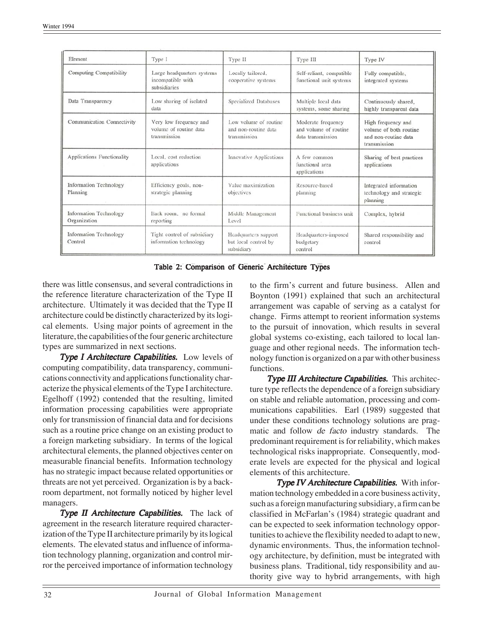| Element                                   | Type I                                                           | Type II                                                       | Type III                                                         | Type IV                                                                              |
|-------------------------------------------|------------------------------------------------------------------|---------------------------------------------------------------|------------------------------------------------------------------|--------------------------------------------------------------------------------------|
| Computing Compatibility                   | Large headquarters systems<br>incompatible with<br>subsidiaries  | Locally tailored,<br>cooperative systems                      | Self-reliant, compatible<br>functional unit systems              | Fully compatible,<br>integrated systems                                              |
| Data Transparency                         | Low sharing of isolated<br>data                                  | Specialized Databases                                         | Multiple local data<br>systems, some sharing                     | Continuously shared,<br>highly transparent data                                      |
| Communication Connectivity                | Very low frequency and<br>volume of routine data<br>transmission | Low volume of routine<br>and non-routine data<br>transmission | Moderate frequency<br>and volume of routine<br>data transmission | High frequency and<br>volume of both routine<br>and non-routine data<br>transmission |
| Applications Functionality                | Local, cost reduction<br>applications                            | Innovative Applications                                       | A few common<br>functional area<br>applications                  | Sharing of best practices<br>applications                                            |
| <b>Information Technology</b><br>Planning | Efficiency goals, non-<br>strategic planning                     | Value maximization<br>objectives                              | Resource-based<br>planning                                       | Integrated information<br>technology and strategic<br>planning                       |
| Information Technology<br>Organization    | Back room, no formal<br>reporting                                | Middle Management<br>Level                                    | Functional business unit                                         | Complex, hybrid                                                                      |
| Information Technology<br>Control         | Tight control of subsidiary<br>information technology            | Headquarters support<br>but local control by<br>subsidiary    | Headquarters-imposed<br>budgetary<br>control                     | Shared responsibility and<br>control                                                 |

Table 2: Comparison of Generic Architecture Types

there was little consensus, and several contradictions in the reference literature characterization of the Type II architecture. Ultimately it was decided that the Type II architecture could be distinctly characterized by its logical elements. Using major points of agreement in the literature, the capabilities of the four generic architecture types are summarized in next sections.

Type I Architecture Capabilities. Low levels of computing compatibility, data transparency, communications connectivity and applications functionality characterize the physical elements of the Type I architecture. Egelhoff (1992) contended that the resulting, limited information processing capabilities were appropriate only for transmission of financial data and for decisions such as a routine price change on an existing product to a foreign marketing subsidiary. In terms of the logical architectural elements, the planned objectives center on measurable financial benefits. Information technology has no strategic impact because related opportunities or threats are not yet perceived. Organization is by a backroom department, not formally noticed by higher level managers.

**Type II Architecture Capabilities.** The lack of agreement in the research literature required characterization of the Type II architecture primarily by its logical elements. The elevated status and influence of information technology planning, organization and control mirror the perceived importance of information technology

to the firm's current and future business. Allen and Boynton (1991) explained that such an architectural arrangement was capable of serving as a catalyst for change. Firms attempt to reorient information systems to the pursuit of innovation, which results in several global systems co-existing, each tailored to local language and other regional needs. The information technology function is organized on a par with other business functions.

Type III Architecture Capabilities. This architecture type reflects the dependence of a foreign subsidiary on stable and reliable automation, processing and communications capabilities. Earl (1989) suggested that under these conditions technology solutions are pragmatic and follow de facto industry standards. The predominant requirement is for reliability, which makes technological risks inappropriate. Consequently, moderate levels are expected for the physical and logical elements of this architecture.

Type IV Architecture Capabilities. With information technology embedded in a core business activity, such as a foreign manufacturing subsidiary, a firm can be classified in McFarlan's (1984) strategic quadrant and can be expected to seek information technology opportunities to achieve the flexibility needed to adapt to new, dynamic environments. Thus, the information technology architecture, by definition, must be integrated with business plans. Traditional, tidy responsibility and authority give way to hybrid arrangements, with high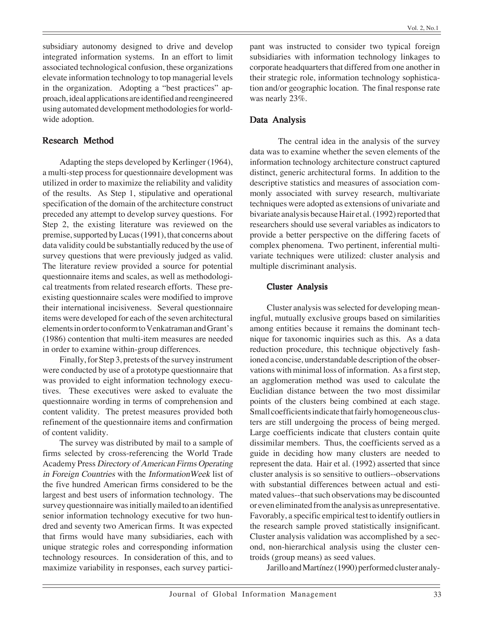subsidiary autonomy designed to drive and develop integrated information systems. In an effort to limit associated technological confusion, these organizations elevate information technology to top managerial levels in the organization. Adopting a "best practices" approach, ideal applications are identified and reengineered using automated development methodologies for worldwide adoption.

## Research Method

Adapting the steps developed by Kerlinger (1964), a multi-step process for questionnaire development was utilized in order to maximize the reliability and validity of the results. As Step 1, stipulative and operational specification of the domain of the architecture construct preceded any attempt to develop survey questions. For Step 2, the existing literature was reviewed on the premise, supported by Lucas (1991), that concerns about data validity could be substantially reduced by the use of survey questions that were previously judged as valid. The literature review provided a source for potential questionnaire items and scales, as well as methodological treatments from related research efforts. These preexisting questionnaire scales were modified to improve their international incisiveness. Several questionnaire items were developed for each of the seven architectural elements in order to conform to Venkatraman and Grant's (1986) contention that multi-item measures are needed in order to examine within-group differences.

Finally, for Step 3, pretests of the survey instrument were conducted by use of a prototype questionnaire that was provided to eight information technology executives. These executives were asked to evaluate the questionnaire wording in terms of comprehension and content validity. The pretest measures provided both refinement of the questionnaire items and confirmation of content validity.

The survey was distributed by mail to a sample of firms selected by cross-referencing the World Trade Academy Press Directory of American Firms Operating in Foreign Countries with the InformationWeek list of the five hundred American firms considered to be the largest and best users of information technology. The survey questionnaire was initially mailed to an identified senior information technology executive for two hundred and seventy two American firms. It was expected that firms would have many subsidiaries, each with unique strategic roles and corresponding information technology resources. In consideration of this, and to maximize variability in responses, each survey participant was instructed to consider two typical foreign subsidiaries with information technology linkages to corporate headquarters that differed from one another in their strategic role, information technology sophistication and/or geographic location. The final response rate was nearly 23%.

# Data Analysis

The central idea in the analysis of the survey data was to examine whether the seven elements of the information technology architecture construct captured distinct, generic architectural forms. In addition to the descriptive statistics and measures of association commonly associated with survey research, multivariate techniques were adopted as extensions of univariate and bivariate analysis because Hair et al. (1992) reported that researchers should use several variables as indicators to provide a better perspective on the differing facets of complex phenomena. Two pertinent, inferential multivariate techniques were utilized: cluster analysis and multiple discriminant analysis.

## Cluster Analysis

Cluster analysis was selected for developing meaningful, mutually exclusive groups based on similarities among entities because it remains the dominant technique for taxonomic inquiries such as this. As a data reduction procedure, this technique objectively fashioned a concise, understandable description of the observations with minimal loss of information. As a first step, an agglomeration method was used to calculate the Euclidian distance between the two most dissimilar points of the clusters being combined at each stage. Small coefficients indicate that fairly homogeneous clusters are still undergoing the process of being merged. Large coefficients indicate that clusters contain quite dissimilar members. Thus, the coefficients served as a guide in deciding how many clusters are needed to represent the data. Hair et al. (1992) asserted that since cluster analysis is so sensitive to outliers--observations with substantial differences between actual and estimated values--that such observations may be discounted or even eliminated from the analysis as unrepresentative. Favorably, a specific empirical test to identify outliers in the research sample proved statistically insignificant. Cluster analysis validation was accomplished by a second, non-hierarchical analysis using the cluster centroids (group means) as seed values.

Jarillo and Martínez (1990) performed cluster analy-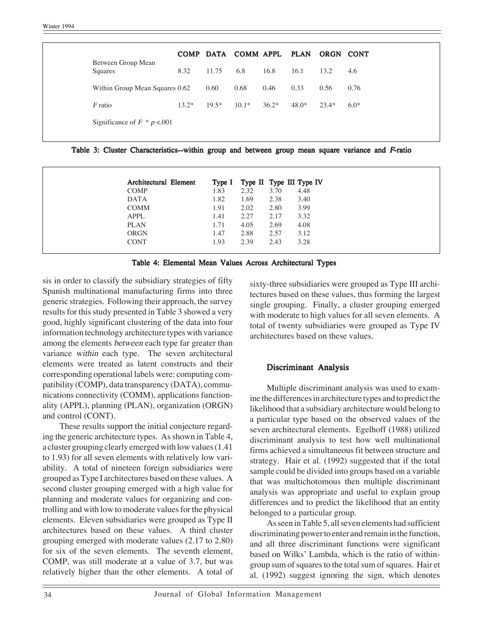| 8.32<br>11.75<br>6.8<br>16.8<br>16.1<br>13.2<br>4.6                                   |                               |  |  | COMP DATA COMM APPL PLAN ORGN CONT |  |
|---------------------------------------------------------------------------------------|-------------------------------|--|--|------------------------------------|--|
|                                                                                       | Between Group Mean<br>Squares |  |  |                                    |  |
| 0.33<br>0.60<br>0.68<br>0.46<br>0.56<br>0.76<br>Within Group Mean Squares 0.62        |                               |  |  |                                    |  |
| $19.5*$<br>$10.1*$<br>$48.0*$<br>$F$ ratio<br>$36.2*$<br>$13.2*$<br>$23.4*$<br>$6.0*$ |                               |  |  |                                    |  |
| Significance of $F * p < 001$                                                         |                               |  |  |                                    |  |

| Architectural Element | Type I |      |      | Type II Type III Type IV |
|-----------------------|--------|------|------|--------------------------|
| <b>COMP</b>           | 1.83   | 2.32 | 3.70 | 4.48                     |
| <b>DATA</b>           | 1.82   | 1.69 | 2.38 | 3.40                     |
| <b>COMM</b>           | 1.91   | 2.02 | 2.80 | 3.99                     |
| <b>APPL</b>           | 1.41   | 2.27 | 2.17 | 3.32                     |
| <b>PLAN</b>           | 1.71   | 4.05 | 2.69 | 4.08                     |
| <b>ORGN</b>           | 1.47   | 2.88 | 2.57 | 3.12                     |
| <b>CONT</b>           | 1.93   | 2.39 | 2.43 | 3.28                     |



sis in order to classify the subsidiary strategies of fifty Spanish multinational manufacturing firms into three generic strategies. Following their approach, the survey results for this study presented in Table 3 showed a very good, highly significant clustering of the data into four information technology architecture types with variance among the elements between each type far greater than variance within each type. The seven architectural elements were treated as latent constructs and their corresponding operational labels were: computing compatibility (COMP), data transparency (DATA), communications connectivity (COMM), applications functionality (APPL), planning (PLAN), organization (ORGN) and control (CONT).

These results support the initial conjecture regarding the generic architecture types. As shown in Table 4, a cluster grouping clearly emerged with low values (1.41 to 1.93) for all seven elements with relatively low variability. A total of nineteen foreign subsidiaries were grouped as Type I architectures based on these values. A second cluster grouping emerged with a high value for planning and moderate values for organizing and controlling and with low to moderate values for the physical elements. Eleven subsidiaries were grouped as Type II architectures based on these values. A third cluster grouping emerged with moderate values (2.17 to 2.80) for six of the seven elements. The seventh element, COMP, was still moderate at a value of 3.7, but was relatively higher than the other elements. A total of sixty-three subsidiaries were grouped as Type III architectures based on these values, thus forming the largest single grouping. Finally, a cluster grouping emerged with moderate to high values for all seven elements. A total of twenty subsidiaries were grouped as Type IV architectures based on these values.

## Discriminant Analysis

Multiple discriminant analysis was used to examine the differences in architecture types and to predict the likelihood that a subsidiary architecture would belong to a particular type based on the observed values of the seven architectural elements. Egelhoff (1988) utilized discriminant analysis to test how well multinational firms achieved a simultaneous fit between structure and strategy. Hair et al. (1992) suggested that if the total sample could be divided into groups based on a variable that was multichotomous then multiple discriminant analysis was appropriate and useful to explain group differences and to predict the likelihood that an entity belonged to a particular group.

As seen in Table 5, all seven elements had sufficient discriminating power to enter and remain in the function, and all three discriminant functions were significant based on Wilks' Lambda, which is the ratio of withingroup sum of squares to the total sum of squares. Hair et al. (1992) suggest ignoring the sign, which denotes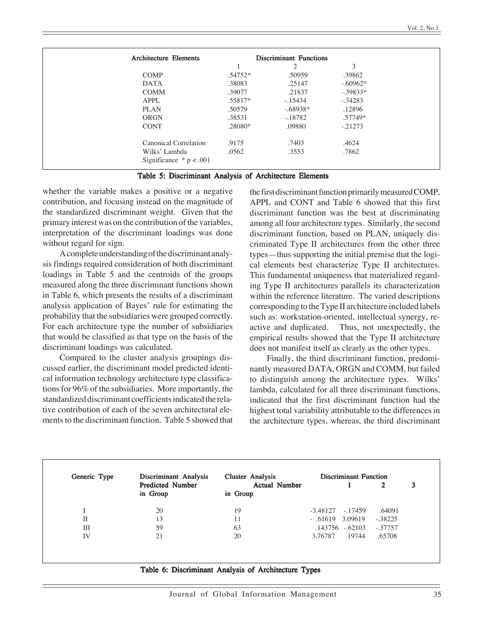| <b>Architecture Elements</b> | <b>Discriminant Functions</b> |            |            |
|------------------------------|-------------------------------|------------|------------|
|                              |                               | 2          | 3          |
| <b>COMP</b>                  | .54752*                       | .50959     | .39862     |
| <b>DATA</b>                  | .38083                        | .25147     | $-.60962*$ |
| <b>COMM</b>                  | .39077                        | .21837     | $-.39833*$ |
| <b>APPL</b>                  | $.55817*$                     | $-.15434$  | $-.34283$  |
| <b>PLAN</b>                  | .50579                        | $-.68938*$ | .12896     |
| <b>ORGN</b>                  | .38531                        | $-.18782$  | .57749*    |
| <b>CONT</b>                  | .28080*                       | .09880     | $-.21273$  |
| Canonical Correlation        | .9175                         | .7403      | .4624      |
| Wilks' Lambda                | .0562                         | .3553      | .7862      |
| Significance $* p < .001$    |                               |            |            |

| Table 5: Discriminant Analysis of Architecture Elements |  |  |  |  |
|---------------------------------------------------------|--|--|--|--|
|---------------------------------------------------------|--|--|--|--|

whether the variable makes a positive or a negative contribution, and focusing instead on the magnitude of the standardized discriminant weight. Given that the primary interest was on the contribution of the variables, interpretation of the discriminant loadings was done without regard for sign.

A complete understanding of the discriminant analysis findings required consideration of both discriminant loadings in Table 5 and the centroids of the groups measured along the three discriminant functions shown in Table 6, which presents the results of a discriminant analysis application of Bayes' rule for estimating the probability that the subsidiaries were grouped correctly. For each architecture type the number of subsidiaries that would be classified as that type on the basis of the discriminant loadings was calculated.

Compared to the cluster analysis groupings discussed earlier, the discriminant model predicted identical information technology architecture type classifications for 96% of the subsidiaries. More importantly, the standardized discriminant coefficients indicated the relative contribution of each of the seven architectural elements to the discriminant function. Table 5 showed that the first discriminant function primarily measured COMP, APPL and CONT and Table 6 showed that this first discriminant function was the best at discriminating among all four architecture types. Similarly, the second discriminant function, based on PLAN, uniquely discriminated Type II architectures from the other three types—thus supporting the initial premise that the logical elements best characterize Type II architectures. This fundamental uniqueness that materialized regarding Type II architectures parallels its characterization within the reference literature. The varied descriptions corresponding to the Type II architecture included labels such as: workstation-oriented, intellectual synergy, reactive and duplicated. Thus, not unexpectedly, the empirical results showed that the Type II architecture does not manifest itself as clearly as the other types.

Finally, the third discriminant function, predominantly measured DATA, ORGN and COMM, but failed to distinguish among the architecture types. Wilks' lambda, calculated for all three discriminant functions, indicated that the first discriminant function had the highest total variability attributable to the differences in the architecture types, whereas, the third discriminant

| Generic Type | Discriminant Analysis               | <b>Cluster Analysis</b>          | <b>Discriminant Function</b> |           |  |  |
|--------------|-------------------------------------|----------------------------------|------------------------------|-----------|--|--|
|              | <b>Predicted Number</b><br>in Group | <b>Actual Number</b><br>in Group |                              | 3<br>2    |  |  |
|              | 20                                  | 19                               | $-3.48127 - 17459$           | .64091    |  |  |
| П            | 13                                  | 11                               | $-.61619$ 3.09619            | $-.38225$ |  |  |
| Ш            | 59                                  | 63                               | .143756 -.62103              | $-.37757$ |  |  |
| IV           | 21                                  | 20                               | 3.76787<br>.19744            | .65708    |  |  |

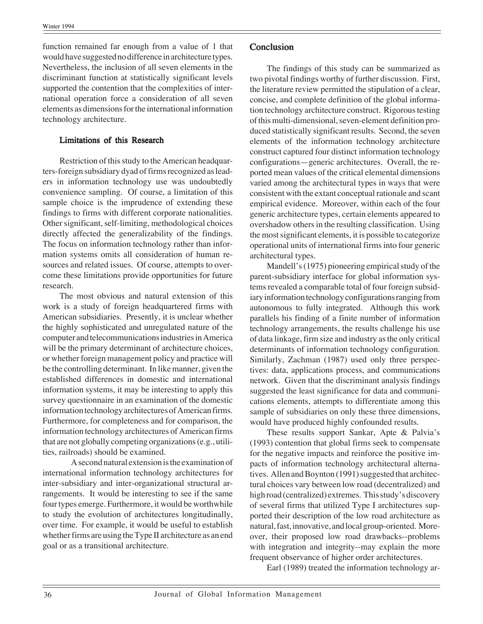function remained far enough from a value of 1 that would have suggested no difference in architecture types. Nevertheless, the inclusion of all seven elements in the discriminant function at statistically significant levels supported the contention that the complexities of international operation force a consideration of all seven elements as dimensions for the international information technology architecture.

#### Limitations of this Research

Restriction of this study to the American headquarters-foreign subsidiary dyad of firms recognized as leaders in information technology use was undoubtedly convenience sampling. Of course, a limitation of this sample choice is the imprudence of extending these findings to firms with different corporate nationalities. Other significant, self-limiting, methodological choices directly affected the generalizability of the findings. The focus on information technology rather than information systems omits all consideration of human resources and related issues. Of course, attempts to overcome these limitations provide opportunities for future research.

The most obvious and natural extension of this work is a study of foreign headquartered firms with American subsidiaries. Presently, it is unclear whether the highly sophisticated and unregulated nature of the computer and telecommunications industries in America will be the primary determinant of architecture choices, or whether foreign management policy and practice will be the controlling determinant. In like manner, given the established differences in domestic and international information systems, it may be interesting to apply this survey questionnaire in an examination of the domestic information technology architectures of American firms. Furthermore, for completeness and for comparison, the information technology architectures of American firms that are not globally competing organizations (e.g., utilities, railroads) should be examined.

A second natural extension is the examination of international information technology architectures for inter-subsidiary and inter-organizational structural arrangements. It would be interesting to see if the same four types emerge. Furthermore, it would be worthwhile to study the evolution of architectures longitudinally, over time. For example, it would be useful to establish whether firms are using the Type II architecture as an end goal or as a transitional architecture.

## Conclusion

The findings of this study can be summarized as two pivotal findings worthy of further discussion. First, the literature review permitted the stipulation of a clear, concise, and complete definition of the global information technology architecture construct. Rigorous testing of this multi-dimensional, seven-element definition produced statistically significant results. Second, the seven elements of the information technology architecture construct captured four distinct information technology configurations—generic architectures. Overall, the reported mean values of the critical elemental dimensions varied among the architectural types in ways that were consistent with the extant conceptual rationale and scant empirical evidence. Moreover, within each of the four generic architecture types, certain elements appeared to overshadow others in the resulting classification. Using the most significant elements, it is possible to categorize operational units of international firms into four generic architectural types.

Mandell's (1975) pioneering empirical study of the parent-subsidiary interface for global information systems revealed a comparable total of four foreign subsidiary information technology configurations ranging from autonomous to fully integrated. Although this work parallels his finding of a finite number of information technology arrangements, the results challenge his use of data linkage, firm size and industry as the only critical determinants of information technology configuration. Similarly, Zachman (1987) used only three perspectives: data, applications process, and communications network. Given that the discriminant analysis findings suggested the least significance for data and communications elements, attempts to differentiate among this sample of subsidiaries on only these three dimensions, would have produced highly confounded results.

These results support Sankar, Apte & Palvia's (1993) contention that global firms seek to compensate for the negative impacts and reinforce the positive impacts of information technology architectural alternatives. Allen and Boynton (1991) suggested that architectural choices vary between low road (decentralized) and high road (centralized) extremes. This study's discovery of several firms that utilized Type I architectures supported their description of the low road architecture as natural, fast, innovative, and local group-oriented. Moreover, their proposed low road drawbacks--problems with integration and integrity--may explain the more frequent observance of higher order architectures.

Earl (1989) treated the information technology ar-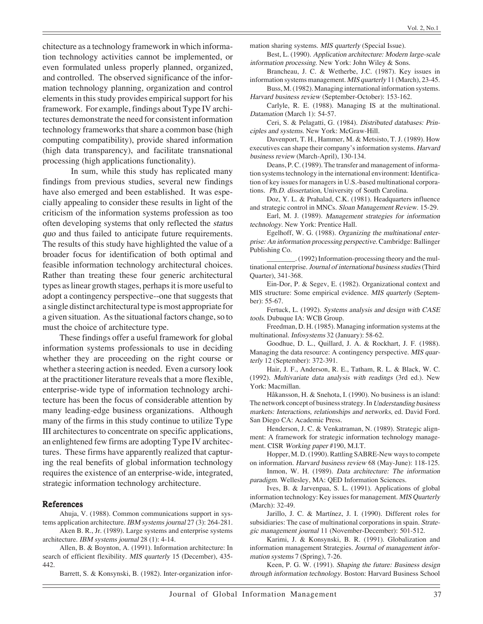chitecture as a technology framework in which information technology activities cannot be implemented, or even formulated unless properly planned, organized, and controlled. The observed significance of the information technology planning, organization and control elements in this study provides empirical support for his framework. For example, findings about Type IV architectures demonstrate the need for consistent information technology frameworks that share a common base (high computing compatibility), provide shared information (high data transparency), and facilitate transnational processing (high applications functionality).

In sum, while this study has replicated many findings from previous studies, several new findings have also emerged and been established. It was especially appealing to consider these results in light of the criticism of the information systems profession as too often developing systems that only reflected the status quo and thus failed to anticipate future requirements. The results of this study have highlighted the value of a broader focus for identification of both optimal and feasible information technology architectural choices. Rather than treating these four generic architectural types as linear growth stages, perhaps it is more useful to adopt a contingency perspective--one that suggests that a single distinct architectural type is most appropriate for a given situation. As the situational factors change, so to must the choice of architecture type.

These findings offer a useful framework for global information systems professionals to use in deciding whether they are proceeding on the right course or whether a steering action is needed. Even a cursory look at the practitioner literature reveals that a more flexible, enterprise-wide type of information technology architecture has been the focus of considerable attention by many leading-edge business organizations. Although many of the firms in this study continue to utilize Type III architectures to concentrate on specific applications, an enlightened few firms are adopting Type IV architectures. These firms have apparently realized that capturing the real benefits of global information technology requires the existence of an enterprise-wide, integrated, strategic information technology architecture.

#### References

Ahuja, V. (1988). Common communications support in systems application architecture. IBM systems journal 27 (3): 264-281.

Aken B. R., Jr. (1989). Large systems and enterprise systems architecture. IBM systems journal 28 (1): 4-14.

Allen, B. & Boynton, A. (1991). Information architecture: In search of efficient flexibility. MIS quarterly 15 (December), 435- 442.

Barrett, S. & Konsynski, B. (1982). Inter-organization infor-

mation sharing systems. MIS quarterly (Special Issue).

Best, L. (1990). Application architecture: Modern large-scale information processing. New York: John Wiley & Sons.

Brancheau, J. C. & Wetherbe, J.C. (1987). Key issues in information systems management. MIS quarterly 11 (March), 23-45.

Buss, M. (1982). Managing international information systems. Harvard business review (September-October): 153-162.

Carlyle, R. E. (1988). Managing IS at the multinational. Datamation (March 1): 54-57.

Ceri, S. & Pelagatti, G. (1984). Distributed databases: Principles and systems. New York: McGraw-Hill.

Davenport, T. H., Hammer, M. & Metsisto, T. J. (1989). How executives can shape their company's information systems. Harvard business review (March-April), 130-134.

Deans, P. C. (1989). The transfer and management of information systems technology in the international environment: Identification of key issues for managers in U.S.-based multinational corporations. Ph.D. dissertation, University of South Carolina.

Doz, Y. L. & Prahalad, C.K. (1981). Headquarters influence and strategic control in MNCs. Sloan Management Review. 15-29.

Earl, M. J. (1989). Management strategies for information technology. New York: Prentice Hall.

Egelhoff, W. G. (1988). Organizing the multinational enterprise: An information processing perspective. Cambridge: Ballinger Publishing Co.

\_\_\_\_\_\_\_\_. (1992) Information-processing theory and the multinational enterprise. Journal of international business studies (Third Quarter), 341-368.

Ein-Dor, P. & Segev, E. (1982). Organizational context and MIS structure: Some empirical evidence. MIS quarterly (September): 55-67.

Fertuck, L. (1992). Systems analysis and design with CASE tools. Dubuque IA: WCB Group.

Freedman, D. H. (1985). Managing information systems at the multinational. Infosystems 32 (January): 58-62.

Goodhue, D. L., Quillard, J. A. & Rockhart, J. F. (1988). Managing the data resource: A contingency perspective. MIS quarterly 12 (September): 372-391.

Hair, J. F., Anderson, R. E., Tatham, R. L. & Black, W. C. (1992). Multivariate data analysis with readings (3rd ed.). New York: Macmillan.

Håkansson, H. & Snehota, I. (1990). No business is an island: The network concept of business strategy. In Understanding business markets: Interactions, relationships and networks, ed. David Ford. San Diego CA: Academic Press.

Henderson, J. C. & Venkatraman, N. (1989). Strategic alignment: A framework for strategic information technology management. CISR Working paper #190, M.I.T.

Hopper, M. D. (1990). Rattling SABRE-New ways to compete on information. Harvard business review 68 (May-June): 118-125.

Inmon, W. H. (1989). Data architecture: The information paradigm. Wellesley, MA: QED Information Sciences.

Ives, B. & Jarvenpaa, S. L. (1991). Applications of global information technology: Key issues for management. MIS Quarterly (March): 32-49.

Jarillo, J. C. & Martínez, J. I. (1990). Different roles for subsidiaries: The case of multinational corporations in spain. Strategic management journal 11 (November-December): 501-512.

Karimi, J. & Konsynski, B. R. (1991). Globalization and information management Strategies. Journal of management information systems 7 (Spring), 7-26.

Keen, P. G. W. (1991). Shaping the future: Business design through information technology. Boston: Harvard Business School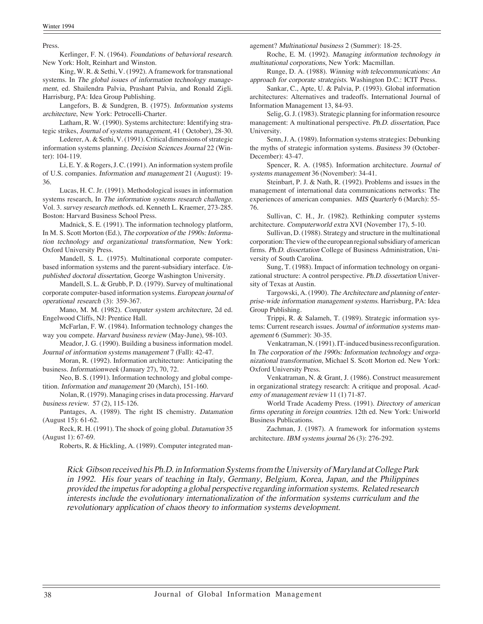Press.

Kerlinger, F. N. (1964). Foundations of behavioral research. New York: Holt, Reinhart and Winston.

King, W. R. & Sethi, V. (1992). A framework for transnational systems. In The global issues of information technology management, ed. Shailendra Palvia, Prashant Palvia, and Ronald Zigli. Harrisburg, PA: Idea Group Publishing.

Langefors, B. & Sundgren, B. (1975). Information systems architecture, New York: Petrocelli-Charter.

Latham, R. W. (1990). Systems architecture: Identifying strategic strikes, Journal of systems management, 41 ( October), 28-30.

Lederer, A. & Sethi, V. (1991). Critical dimensions of strategic information systems planning. Decision Sciences Journal 22 (Winter): 104-119.

Li, E. Y. & Rogers, J. C. (1991). An information system profile of U.S. companies. Information and management 21 (August): 19- 36.

Lucas, H. C. Jr. (1991). Methodological issues in information systems research, In The information systems research challenge. Vol. 3. survey research methods. ed. Kenneth L. Kraemer, 273-285. Boston: Harvard Business School Press.

Madnick, S. E. (1991). The information technology platform, In M. S. Scott Morton (Ed.), The corporation of the 1990s: Information technology and organizational transformation, New York: Oxford University Press.

Mandell, S. L. (1975). Multinational corporate computerbased information systems and the parent-subsidiary interface. Unpublished doctoral dissertation, George Washington University.

Mandell, S. L. & Grubb, P. D. (1979). Survey of multinational corporate computer-based information systems. European journal of operational research (3): 359-367.

Mano, M. M. (1982). Computer system architecture, 2d ed. Engelwood Cliffs, NJ: Prentice Hall.

McFarlan, F. W. (1984). Information technology changes the way you compete. Harvard business review (May-June), 98-103.

Meador, J. G. (1990). Building a business information model. Journal of information systems management 7 (Fall): 42-47.

Moran, R. (1992). Information architecture: Anticipating the business. Informationweek (January 27), 70, 72.

Neo, B. S. (1991). Information technology and global competition. Information and management 20 (March), 151-160.

Nolan, R. (1979). Managing crises in data processing. Harvard business review. 57 (2), 115-126.

Pantages, A. (1989). The right IS chemistry. Datamation (August 15): 61-62.

Reck, R. H. (1991). The shock of going global. Datamation 35 (August 1): 67-69.

Roberts, R. & Hickling, A. (1989). Computer integrated man-

agement? Multinational business 2 (Summer): 18-25.

Roche, E. M. (1992). Managing information technology in multinational corporations, New York: Macmillan.

Runge, D. A. (1988). Winning with telecommunications: An approach for corporate strategists. Washington D.C.: ICIT Press.

Sankar, C., Apte, U. & Palvia, P. (1993). Global information architectures: Alternatives and tradeoffs. International Journal of Information Management 13, 84-93.

Selig, G. J. (1983). Strategic planning for information resource management: A multinational perspective. Ph.D. dissertation, Pace University.

Senn, J. A. (1989). Information systems strategies: Debunking the myths of strategic information systems. Business 39 (October-December): 43-47.

Spencer, R. A. (1985). Information architecture. Journal of systems management 36 (November): 34-41.

Steinbart, P. J. & Nath, R. (1992). Problems and issues in the management of international data communications networks: The experiences of american companies. MIS Quarterly 6 (March): 55- 76.

Sullivan, C. H., Jr. (1982). Rethinking computer systems architecture. Computerworld extra XVI (November 17), 5-10.

Sullivan, D. (1988). Strategy and structure in the multinational corporation: The view of the european regional subsidiary of american firms. Ph.D. dissertation College of Business Administration, University of South Carolina.

Sung, T. (1988). Impact of information technology on organizational structure: A control perspective. Ph.D. dissertation University of Texas at Austin.

Targowski, A. (1990). The Architecture and planning of enterprise-wide information management systems. Harrisburg, PA: Idea Group Publishing.

Trippi, R. & Salameh, T. (1989). Strategic information systems: Current research issues. Journal of information systems management 6 (Summer): 30-35.

Venkatraman, N. (1991). IT-induced business reconfiguration. In The corporation of the 1990s: Information technology and organizational transformation, Michael S. Scott Morton ed. New York: Oxford University Press.

Venkatraman, N. & Grant, J. (1986). Construct measurement in organizational strategy research: A critique and proposal. Academy of management review 11 (1) 71-87.

World Trade Academy Press. (1991). Directory of american firms operating in foreign countries. 12th ed. New York: Uniworld Business Publications.

Zachman, J. (1987). A framework for information systems architecture. IBM systems journal 26 (3): 276-292.

Rick Gibson received his Ph.D. in Information Systems from the University of Maryland at College Park in 1992. His four years of teaching in Italy, Germany, Belgium, Korea, Japan, and the Philippines provided the impetus for adopting a global perspective regarding information systems. Related research interests include the evolutionary internationalization of the information systems curriculum and the revolutionary application of chaos theory to information systems development.